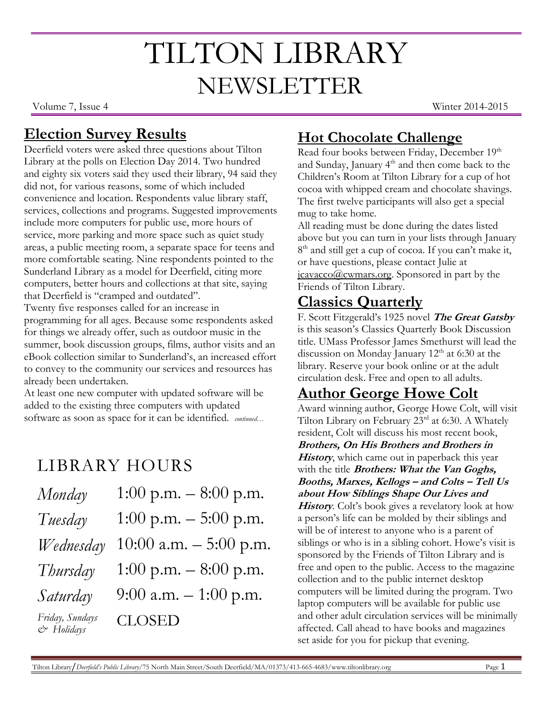# TILTON LIBRARY NEWSLETTER

Volume 7, Issue 4 Winter 2014-2015

### **Election Survey Results**

Deerfield voters were asked three questions about Tilton Library at the polls on Election Day 2014. Two hundred and eighty six voters said they used their library, 94 said they did not, for various reasons, some of which included convenience and location. Respondents value library staff, services, collections and programs. Suggested improvements include more computers for public use, more hours of service, more parking and more space such as quiet study areas, a public meeting room, a separate space for teens and more comfortable seating. Nine respondents pointed to the Sunderland Library as a model for Deerfield, citing more computers, better hours and collections at that site, saying that Deerfield is "cramped and outdated".

Twenty five responses called for an increase in programming for all ages. Because some respondents asked for things we already offer, such as outdoor music in the summer, book discussion groups, films, author visits and an eBook collection similar to Sunderland's, an increased effort to convey to the community our services and resources has already been undertaken.

At least one new computer with updated software will be added to the existing three computers with updated software as soon as space for it can be identified. *continued…*

# LIBRARY HOURS

| Monday                        | 1:00 p.m. $-8:00$ p.m.   |
|-------------------------------|--------------------------|
| Tuesday                       | 1:00 p.m. $-$ 5:00 p.m.  |
| Wednesday                     | 10:00 a.m. $-$ 5:00 p.m. |
| Thursday                      | 1:00 p.m. $-8:00$ p.m.   |
| Saturday                      | 9:00 a.m. $-1:00$ p.m.   |
| Friday, Sundays<br>& Holidays | <b>CLOSED</b>            |

# **Hot Chocolate Challenge**

Read four books between Friday, December 19th and Sunday, January 4<sup>th</sup> and then come back to the Children's Room at Tilton Library for a cup of hot cocoa with whipped cream and chocolate shavings. The first twelve participants will also get a special mug to take home.

All reading must be done during the dates listed above but you can turn in your lists through January 8<sup>th</sup> and still get a cup of cocoa. If you can't make it, or have questions, please contact Julie at [jcavacco@cwmars.org.](mailto:jcavacco@cwmars.org) Sponsored in part by the Friends of Tilton Library.

### **Classics Quarterly**

F. Scott Fitzgerald's 1925 novel **The Great Gatsby** is this season's Classics Quarterly Book Discussion title. UMass Professor James Smethurst will lead the discussion on Monday January  $12<sup>th</sup>$  at 6:30 at the library. Reserve your book online or at the adult circulation desk. Free and open to all adults.

# **Author George Howe Colt**

Award winning author, George Howe Colt, will visit Tilton Library on February 23rd at 6:30. A Whately resident, Colt will discuss his most recent book,

**Brothers, On His Brothers and Brothers in History**, which came out in paperback this year with the title **Brothers: What the Van Goghs, Booths, Marxes, Kellogs – and Colts – Tell Us about How Siblings Shape Our Lives and** 

History. Colt's book gives a revelatory look at how a person's life can be molded by their siblings and will be of interest to anyone who is a parent of siblings or who is in a sibling cohort. Howe's visit is sponsored by the Friends of Tilton Library and is free and open to the public. Access to the magazine collection and to the public internet desktop computers will be limited during the program. Two laptop computers will be available for public use and other adult circulation services will be minimally affected. Call ahead to have books and magazines set aside for you for pickup that evening.